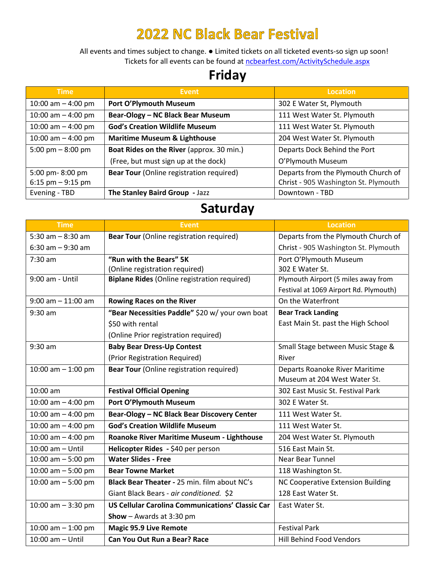## **2022 NC Black Bear Festival**

All events and times subject to change. ● Limited tickets on all ticketed events-so sign up soon! Tickets for all events can be found at [ncbearfest.com/ActivitySchedule.aspx](https://ncbearfest.com/ActivitySchedule.aspx)

## **Friday**

| <b>Time</b>          | Event                                           | Location                             |
|----------------------|-------------------------------------------------|--------------------------------------|
| 10:00 am $-$ 4:00 pm | Port O'Plymouth Museum                          | 302 E Water St, Plymouth             |
| 10:00 am $-$ 4:00 pm | Bear-Ology - NC Black Bear Museum               | 111 West Water St. Plymouth          |
| 10:00 am $-$ 4:00 pm | <b>God's Creation Wildlife Museum</b>           | 111 West Water St. Plymouth          |
| 10:00 am $-$ 4:00 pm | <b>Maritime Museum &amp; Lighthouse</b>         | 204 West Water St. Plymouth          |
| 5:00 pm $-8:00$ pm   | Boat Rides on the River (approx. 30 min.)       | Departs Dock Behind the Port         |
|                      | (Free, but must sign up at the dock)            | O'Plymouth Museum                    |
| 5:00 pm-8:00 pm      | <b>Bear Tour</b> (Online registration required) | Departs from the Plymouth Church of  |
| 6:15 pm $-9:15$ pm   |                                                 | Christ - 905 Washington St. Plymouth |
| Evening - TBD        | The Stanley Baird Group - Jazz                  | Downtown - TBD                       |

## **Saturday**

| <b>Time</b>           | <b>Event</b>                                            | <b>Location</b>                          |
|-----------------------|---------------------------------------------------------|------------------------------------------|
| 5:30 am $-8:30$ am    | <b>Bear Tour</b> (Online registration required)         | Departs from the Plymouth Church of      |
| $6:30$ am $-9:30$ am  |                                                         | Christ - 905 Washington St. Plymouth     |
| 7:30 am               | "Run with the Bears" 5K                                 | Port O'Plymouth Museum                   |
|                       | (Online registration required)                          | 302 E Water St.                          |
| 9:00 am - Until       | <b>Biplane Rides (Online registration required)</b>     | Plymouth Airport (5 miles away from      |
|                       |                                                         | Festival at 1069 Airport Rd. Plymouth)   |
| $9:00$ am $-11:00$ am | <b>Rowing Races on the River</b>                        | On the Waterfront                        |
| $9:30$ am             | "Bear Necessities Paddle" \$20 w/ your own boat         | <b>Bear Track Landing</b>                |
|                       | \$50 with rental                                        | East Main St. past the High School       |
|                       | (Online Prior registration required)                    |                                          |
| $9:30$ am             | <b>Baby Bear Dress-Up Contest</b>                       | Small Stage between Music Stage &        |
|                       | (Prior Registration Required)                           | River                                    |
| 10:00 am $-$ 1:00 pm  | <b>Bear Tour (Online registration required)</b>         | Departs Roanoke River Maritime           |
|                       |                                                         | Museum at 204 West Water St.             |
| 10:00 am              | <b>Festival Official Opening</b>                        | 302 East Music St. Festival Park         |
| 10:00 am $-$ 4:00 pm  | Port O'Plymouth Museum                                  | 302 E Water St.                          |
| 10:00 am $-$ 4:00 pm  | Bear-Ology - NC Black Bear Discovery Center             | 111 West Water St.                       |
| 10:00 am $-$ 4:00 pm  | <b>God's Creation Wildlife Museum</b>                   | 111 West Water St.                       |
| 10:00 am $-$ 4:00 pm  | Roanoke River Maritime Museum - Lighthouse              | 204 West Water St. Plymouth              |
| 10:00 am - Until      | Helicopter Rides - \$40 per person                      | 516 East Main St.                        |
| 10:00 am $-5:00$ pm   | <b>Water Slides - Free</b>                              | Near Bear Tunnel                         |
| 10:00 am $-5:00$ pm   | <b>Bear Towne Market</b>                                | 118 Washington St.                       |
| 10:00 am $-5:00$ pm   | <b>Black Bear Theater - 25 min. film about NC's</b>     | <b>NC Cooperative Extension Building</b> |
|                       | Giant Black Bears - air conditioned. \$2                | 128 East Water St.                       |
| 10:00 am $-$ 3:30 pm  | <b>US Cellular Carolina Communications' Classic Car</b> | East Water St.                           |
|                       | <b>Show</b> $-$ Awards at 3:30 pm                       |                                          |
| 10:00 am $-$ 1:00 pm  | <b>Magic 95.9 Live Remote</b>                           | <b>Festival Park</b>                     |
| 10:00 am - Until      | <b>Can You Out Run a Bear? Race</b>                     | <b>Hill Behind Food Vendors</b>          |